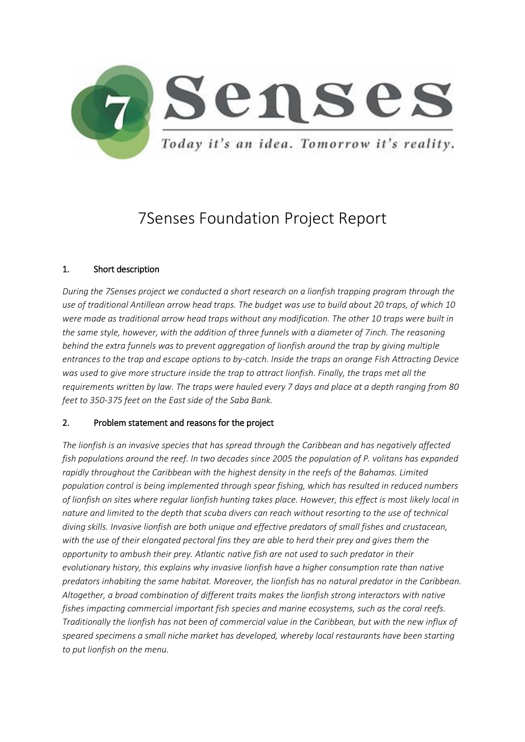

# 7Senses Foundation Project Report

# 1. Short description

*During the 7Senses project we conducted a short research on a lionfish trapping program through the use of traditional Antillean arrow head traps. The budget was use to build about 20 traps, of which 10 were made as traditional arrow head traps without any modification. The other 10 traps were built in the same style, however, with the addition of three funnels with a diameter of 7inch. The reasoning behind the extra funnels was to prevent aggregation of lionfish around the trap by giving multiple entrances to the trap and escape options to by-catch. Inside the traps an orange Fish Attracting Device was used to give more structure inside the trap to attract lionfish. Finally, the traps met all the requirements written by law. The traps were hauled every 7 days and place at a depth ranging from 80 feet to 350-375 feet on the East side of the Saba Bank.*

## 2. Problem statement and reasons for the project

*The lionfish is an invasive species that has spread through the Caribbean and has negatively affected fish populations around the reef. In two decades since 2005 the population of P. volitans has expanded rapidly throughout the Caribbean with the highest density in the reefs of the Bahamas. Limited population control is being implemented through spear fishing, which has resulted in reduced numbers of lionfish on sites where regular lionfish hunting takes place. However, this effect is most likely local in nature and limited to the depth that scuba divers can reach without resorting to the use of technical diving skills. Invasive lionfish are both unique and effective predators of small fishes and crustacean, with the use of their elongated pectoral fins they are able to herd their prey and gives them the opportunity to ambush their prey. Atlantic native fish are not used to such predator in their evolutionary history, this explains why invasive lionfish have a higher consumption rate than native predators inhabiting the same habitat. Moreover, the lionfish has no natural predator in the Caribbean. Altogether, a broad combination of different traits makes the lionfish strong interactors with native fishes impacting commercial important fish species and marine ecosystems, such as the coral reefs. Traditionally the lionfish has not been of commercial value in the Caribbean, but with the new influx of speared specimens a small niche market has developed, whereby local restaurants have been starting to put lionfish on the menu.*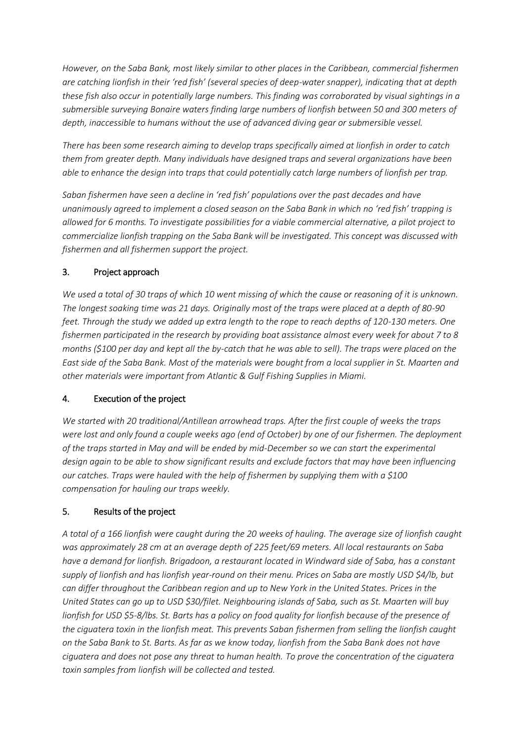*However, on the Saba Bank, most likely similar to other places in the Caribbean, commercial fishermen are catching lionfish in their 'red fish' (several species of deep-water snapper), indicating that at depth these fish also occur in potentially large numbers. This finding was corroborated by visual sightings in a submersible surveying Bonaire waters finding large numbers of lionfish between 50 and 300 meters of depth, inaccessible to humans without the use of advanced diving gear or submersible vessel.*

*There has been some research aiming to develop traps specifically aimed at lionfish in order to catch them from greater depth. Many individuals have designed traps and several organizations have been able to enhance the design into traps that could potentially catch large numbers of lionfish per trap.* 

*Saban fishermen have seen a decline in 'red fish' populations over the past decades and have unanimously agreed to implement a closed season on the Saba Bank in which no 'red fish' trapping is allowed for 6 months. To investigate possibilities for a viable commercial alternative, a pilot project to commercialize lionfish trapping on the Saba Bank will be investigated. This concept was discussed with fishermen and all fishermen support the project.*

## 3. Project approach

*We used a total of 30 traps of which 10 went missing of which the cause or reasoning of it is unknown. The longest soaking time was 21 days. Originally most of the traps were placed at a depth of 80-90 feet. Through the study we added up extra length to the rope to reach depths of 120-130 meters. One fishermen participated in the research by providing boat assistance almost every week for about 7 to 8 months (\$100 per day and kept all the by-catch that he was able to sell). The traps were placed on the East side of the Saba Bank. Most of the materials were bought from a local supplier in St. Maarten and other materials were important from Atlantic & Gulf Fishing Supplies in Miami.* 

## 4. Execution of the project

*We started with 20 traditional/Antillean arrowhead traps. After the first couple of weeks the traps were lost and only found a couple weeks ago (end of October) by one of our fishermen. The deployment of the traps started in May and will be ended by mid-December so we can start the experimental design again to be able to show significant results and exclude factors that may have been influencing our catches. Traps were hauled with the help of fishermen by supplying them with a \$100 compensation for hauling our traps weekly.* 

# 5. Results of the project

*A total of a 166 lionfish were caught during the 20 weeks of hauling. The average size of lionfish caught was approximately 28 cm at an average depth of 225 feet/69 meters. All local restaurants on Saba have a demand for lionfish. Brigadoon, a restaurant located in Windward side of Saba, has a constant supply of lionfish and has lionfish year-round on their menu. Prices on Saba are mostly USD \$4/lb, but can differ throughout the Caribbean region and up to New York in the United States. Prices in the United States can go up to USD \$30/filet. Neighbouring islands of Saba, such as St. Maarten will buy lionfish for USD \$5-8/lbs. St. Barts has a policy on food quality for lionfish because of the presence of the ciguatera toxin in the lionfish meat. This prevents Saban fishermen from selling the lionfish caught on the Saba Bank to St. Barts. As far as we know today, lionfish from the Saba Bank does not have ciguatera and does not pose any threat to human health. To prove the concentration of the ciguatera toxin samples from lionfish will be collected and tested.*